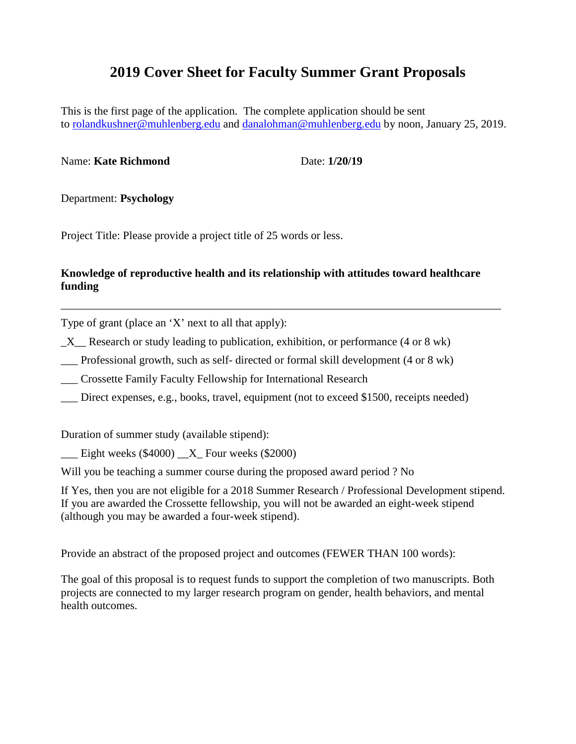# **2019 Cover Sheet for Faculty Summer Grant Proposals**

This is the first page of the application. The complete application should be sent to [rolandkushner@muhlenberg.edu](mailto:rolandkushner@muhlenberg.edu) and [danalohman@muhlenberg.edu](mailto:danalohman@muhlenberg.edu) by noon, January 25, 2019.

#### Name: **Kate Richmond** Date: 1/20/19

Department: **Psychology**

Project Title: Please provide a project title of 25 words or less.

# **Knowledge of reproductive health and its relationship with attitudes toward healthcare funding**

\_\_\_\_\_\_\_\_\_\_\_\_\_\_\_\_\_\_\_\_\_\_\_\_\_\_\_\_\_\_\_\_\_\_\_\_\_\_\_\_\_\_\_\_\_\_\_\_\_\_\_\_\_\_\_\_\_\_\_\_\_\_\_\_\_\_\_\_\_\_\_\_\_\_\_\_\_\_

Type of grant (place an 'X' next to all that apply):

X Research or study leading to publication, exhibition, or performance (4 or 8 wk)

\_\_\_ Professional growth, such as self- directed or formal skill development (4 or 8 wk)

\_\_\_ Crossette Family Faculty Fellowship for International Research

\_\_\_ Direct expenses, e.g., books, travel, equipment (not to exceed \$1500, receipts needed)

Duration of summer study (available stipend):

 $\frac{\text{Light weeks (\$4000)} \text{X}}{\text{Four weeks (\$2000)}}$ 

Will you be teaching a summer course during the proposed award period ? No

If Yes, then you are not eligible for a 2018 Summer Research / Professional Development stipend. If you are awarded the Crossette fellowship, you will not be awarded an eight-week stipend (although you may be awarded a four-week stipend).

Provide an abstract of the proposed project and outcomes (FEWER THAN 100 words):

The goal of this proposal is to request funds to support the completion of two manuscripts. Both projects are connected to my larger research program on gender, health behaviors, and mental health outcomes.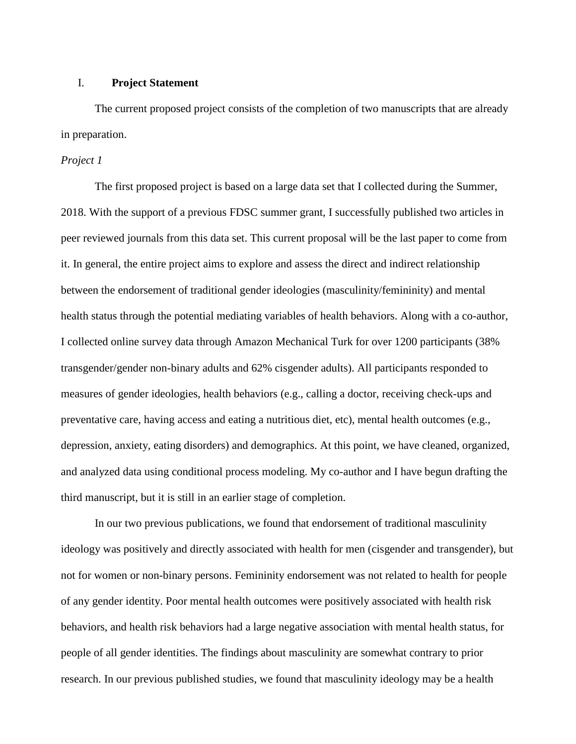#### I. **Project Statement**

The current proposed project consists of the completion of two manuscripts that are already in preparation.

# *Project 1*

The first proposed project is based on a large data set that I collected during the Summer, 2018. With the support of a previous FDSC summer grant, I successfully published two articles in peer reviewed journals from this data set. This current proposal will be the last paper to come from it. In general, the entire project aims to explore and assess the direct and indirect relationship between the endorsement of traditional gender ideologies (masculinity/femininity) and mental health status through the potential mediating variables of health behaviors. Along with a co-author, I collected online survey data through Amazon Mechanical Turk for over 1200 participants (38% transgender/gender non-binary adults and 62% cisgender adults). All participants responded to measures of gender ideologies, health behaviors (e.g., calling a doctor, receiving check-ups and preventative care, having access and eating a nutritious diet, etc), mental health outcomes (e.g., depression, anxiety, eating disorders) and demographics. At this point, we have cleaned, organized, and analyzed data using conditional process modeling. My co-author and I have begun drafting the third manuscript, but it is still in an earlier stage of completion.

In our two previous publications, we found that endorsement of traditional masculinity ideology was positively and directly associated with health for men (cisgender and transgender), but not for women or non-binary persons. Femininity endorsement was not related to health for people of any gender identity. Poor mental health outcomes were positively associated with health risk behaviors, and health risk behaviors had a large negative association with mental health status, for people of all gender identities. The findings about masculinity are somewhat contrary to prior research. In our previous published studies, we found that masculinity ideology may be a health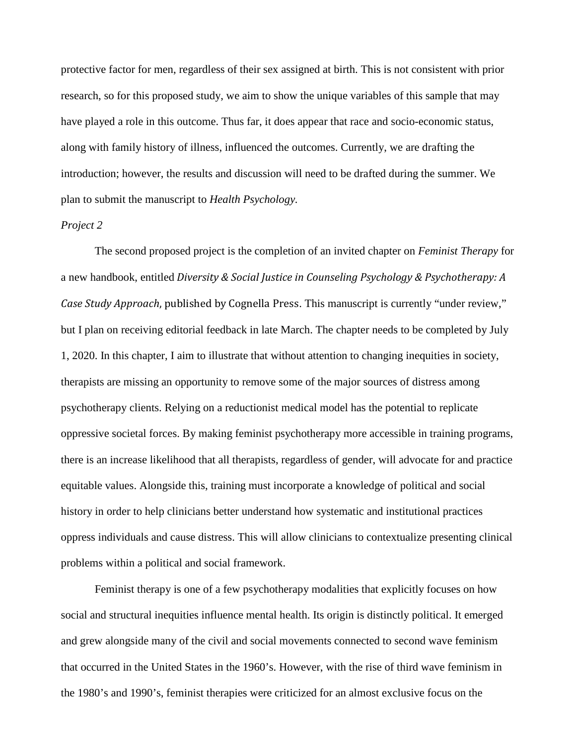protective factor for men, regardless of their sex assigned at birth. This is not consistent with prior research, so for this proposed study, we aim to show the unique variables of this sample that may have played a role in this outcome. Thus far, it does appear that race and socio-economic status, along with family history of illness, influenced the outcomes. Currently, we are drafting the introduction; however, the results and discussion will need to be drafted during the summer. We plan to submit the manuscript to *Health Psychology.*

#### *Project 2*

The second proposed project is the completion of an invited chapter on *Feminist Therapy* for a new handbook, entitled *Diversity & Social Justice in Counseling Psychology & Psychotherapy: A Case Study Approach*, published by Cognella Press. This manuscript is currently "under review," but I plan on receiving editorial feedback in late March. The chapter needs to be completed by July 1, 2020. In this chapter, I aim to illustrate that without attention to changing inequities in society, therapists are missing an opportunity to remove some of the major sources of distress among psychotherapy clients. Relying on a reductionist medical model has the potential to replicate oppressive societal forces. By making feminist psychotherapy more accessible in training programs, there is an increase likelihood that all therapists, regardless of gender, will advocate for and practice equitable values. Alongside this, training must incorporate a knowledge of political and social history in order to help clinicians better understand how systematic and institutional practices oppress individuals and cause distress. This will allow clinicians to contextualize presenting clinical problems within a political and social framework.

Feminist therapy is one of a few psychotherapy modalities that explicitly focuses on how social and structural inequities influence mental health. Its origin is distinctly political. It emerged and grew alongside many of the civil and social movements connected to second wave feminism that occurred in the United States in the 1960's. However, with the rise of third wave feminism in the 1980's and 1990's, feminist therapies were criticized for an almost exclusive focus on the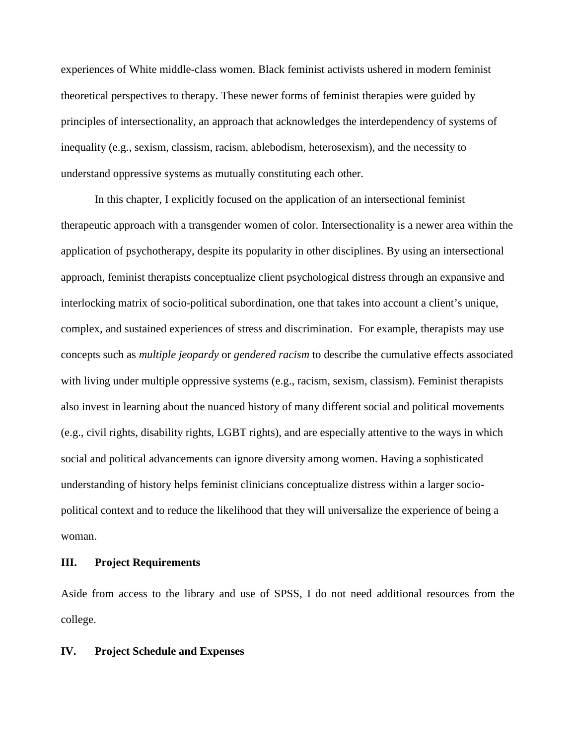experiences of White middle-class women. Black feminist activists ushered in modern feminist theoretical perspectives to therapy. These newer forms of feminist therapies were guided by principles of intersectionality, an approach that acknowledges the interdependency of systems of inequality (e.g., sexism, classism, racism, ablebodism, heterosexism), and the necessity to understand oppressive systems as mutually constituting each other.

In this chapter, I explicitly focused on the application of an intersectional feminist therapeutic approach with a transgender women of color. Intersectionality is a newer area within the application of psychotherapy, despite its popularity in other disciplines. By using an intersectional approach, feminist therapists conceptualize client psychological distress through an expansive and interlocking matrix of socio-political subordination, one that takes into account a client's unique, complex, and sustained experiences of stress and discrimination. For example, therapists may use concepts such as *multiple jeopardy* or *gendered racism* to describe the cumulative effects associated with living under multiple oppressive systems (e.g., racism, sexism, classism). Feminist therapists also invest in learning about the nuanced history of many different social and political movements (e.g., civil rights, disability rights, LGBT rights), and are especially attentive to the ways in which social and political advancements can ignore diversity among women. Having a sophisticated understanding of history helps feminist clinicians conceptualize distress within a larger sociopolitical context and to reduce the likelihood that they will universalize the experience of being a woman.

#### **III. Project Requirements**

Aside from access to the library and use of SPSS, I do not need additional resources from the college.

# **IV. Project Schedule and Expenses**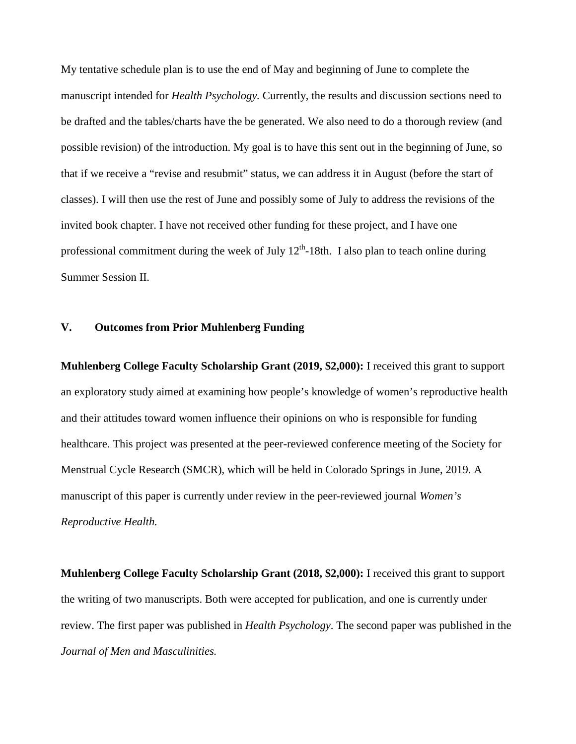My tentative schedule plan is to use the end of May and beginning of June to complete the manuscript intended for *Health Psychology.* Currently, the results and discussion sections need to be drafted and the tables/charts have the be generated. We also need to do a thorough review (and possible revision) of the introduction. My goal is to have this sent out in the beginning of June, so that if we receive a "revise and resubmit" status, we can address it in August (before the start of classes). I will then use the rest of June and possibly some of July to address the revisions of the invited book chapter. I have not received other funding for these project, and I have one professional commitment during the week of July  $12<sup>th</sup>$ -18th. I also plan to teach online during Summer Session II.

# **V. Outcomes from Prior Muhlenberg Funding**

**Muhlenberg College Faculty Scholarship Grant (2019, \$2,000):** I received this grant to support an exploratory study aimed at examining how people's knowledge of women's reproductive health and their attitudes toward women influence their opinions on who is responsible for funding healthcare. This project was presented at the peer-reviewed conference meeting of the Society for Menstrual Cycle Research (SMCR), which will be held in Colorado Springs in June, 2019. A manuscript of this paper is currently under review in the peer-reviewed journal *Women's Reproductive Health.* 

**Muhlenberg College Faculty Scholarship Grant (2018, \$2,000):** I received this grant to support the writing of two manuscripts. Both were accepted for publication, and one is currently under review. The first paper was published in *Health Psychology*. The second paper was published in the *Journal of Men and Masculinities.*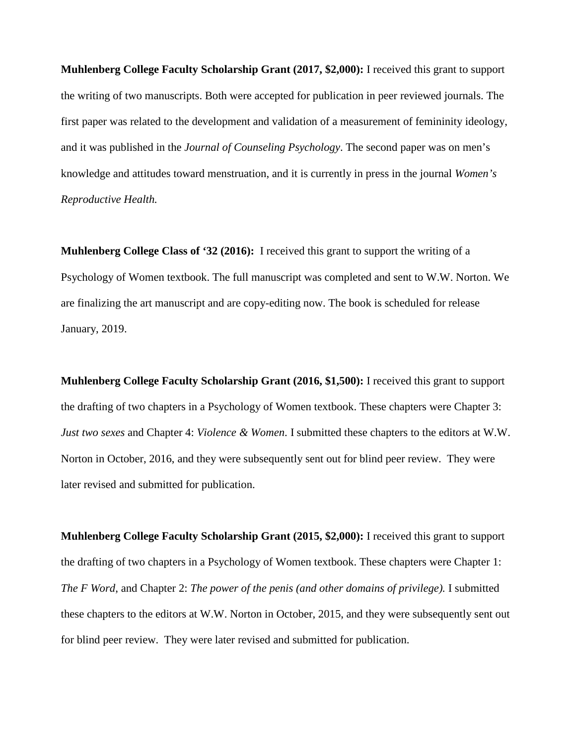**Muhlenberg College Faculty Scholarship Grant (2017, \$2,000):** I received this grant to support the writing of two manuscripts. Both were accepted for publication in peer reviewed journals. The first paper was related to the development and validation of a measurement of femininity ideology, and it was published in the *Journal of Counseling Psychology*. The second paper was on men's knowledge and attitudes toward menstruation, and it is currently in press in the journal *Women's Reproductive Health.* 

**Muhlenberg College Class of '32 (2016):** I received this grant to support the writing of a Psychology of Women textbook. The full manuscript was completed and sent to W.W. Norton. We are finalizing the art manuscript and are copy-editing now. The book is scheduled for release January, 2019.

**Muhlenberg College Faculty Scholarship Grant (2016, \$1,500):** I received this grant to support the drafting of two chapters in a Psychology of Women textbook. These chapters were Chapter 3: *Just two sexes* and Chapter 4: *Violence & Women*. I submitted these chapters to the editors at W.W. Norton in October, 2016, and they were subsequently sent out for blind peer review. They were later revised and submitted for publication.

**Muhlenberg College Faculty Scholarship Grant (2015, \$2,000):** I received this grant to support the drafting of two chapters in a Psychology of Women textbook. These chapters were Chapter 1: *The F Word*, and Chapter 2: *The power of the penis (and other domains of privilege).* I submitted these chapters to the editors at W.W. Norton in October, 2015, and they were subsequently sent out for blind peer review. They were later revised and submitted for publication.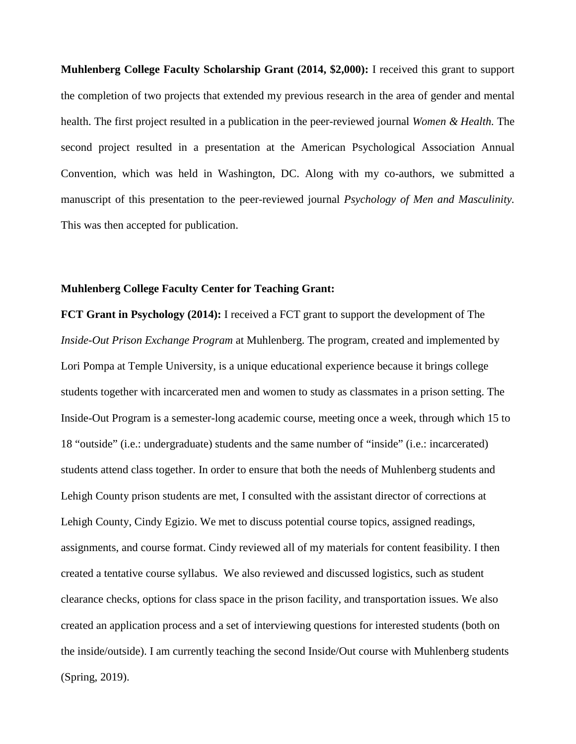**Muhlenberg College Faculty Scholarship Grant (2014, \$2,000):** I received this grant to support the completion of two projects that extended my previous research in the area of gender and mental health. The first project resulted in a publication in the peer-reviewed journal *Women & Health.* The second project resulted in a presentation at the American Psychological Association Annual Convention, which was held in Washington, DC. Along with my co-authors, we submitted a manuscript of this presentation to the peer-reviewed journal *Psychology of Men and Masculinity.*  This was then accepted for publication.

#### **Muhlenberg College Faculty Center for Teaching Grant:**

**FCT Grant in Psychology (2014):** I received a FCT grant to support the development of The *Inside*-*Out Prison Exchange Program* at Muhlenberg. The program, created and implemented by Lori Pompa at Temple University, is a unique educational experience because it brings college students together with incarcerated men and women to study as classmates in a prison setting. The Inside-Out Program is a semester-long academic course, meeting once a week, through which 15 to 18 "outside" (i.e.: undergraduate) students and the same number of "inside" (i.e.: incarcerated) students attend class together. In order to ensure that both the needs of Muhlenberg students and Lehigh County prison students are met, I consulted with the assistant director of corrections at Lehigh County, Cindy Egizio. We met to discuss potential course topics, assigned readings, assignments, and course format. Cindy reviewed all of my materials for content feasibility. I then created a tentative course syllabus. We also reviewed and discussed logistics, such as student clearance checks, options for class space in the prison facility, and transportation issues. We also created an application process and a set of interviewing questions for interested students (both on the inside/outside). I am currently teaching the second Inside/Out course with Muhlenberg students (Spring, 2019).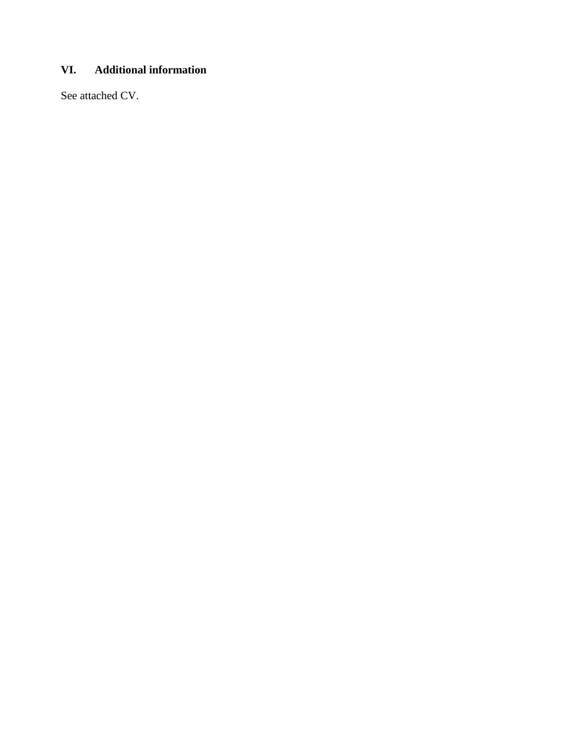# **VI. Additional information**

See attached CV.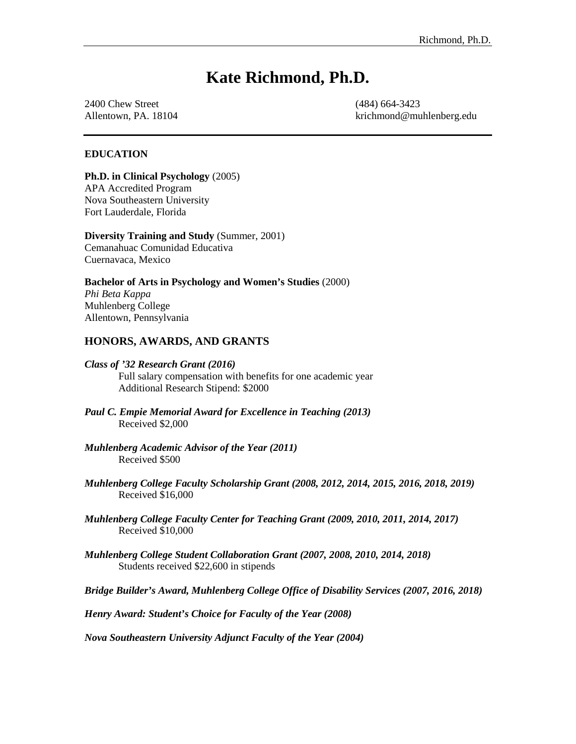# **Kate Richmond, Ph.D.**

2400 Chew Street (484) 664-3423

Allentown, PA. 18104 krichmond@muhlenberg.edu

#### **EDUCATION**

**Ph.D. in Clinical Psychology** (2005) APA Accredited Program Nova Southeastern University Fort Lauderdale, Florida

**Diversity Training and Study** (Summer, 2001) Cemanahuac Comunidad Educativa

Cuernavaca, Mexico

**Bachelor of Arts in Psychology and Women's Studies** (2000) *Phi Beta Kappa* Muhlenberg College

Allentown, Pennsylvania

# **HONORS, AWARDS, AND GRANTS**

#### *Class of '32 Research Grant (2016)*

Full salary compensation with benefits for one academic year Additional Research Stipend: \$2000

- *Paul C. Empie Memorial Award for Excellence in Teaching (2013)* Received \$2,000
- *Muhlenberg Academic Advisor of the Year (2011)* Received \$500
- *Muhlenberg College Faculty Scholarship Grant (2008, 2012, 2014, 2015, 2016, 2018, 2019)* Received \$16,000
- *Muhlenberg College Faculty Center for Teaching Grant (2009, 2010, 2011, 2014, 2017)*  Received \$10,000
- *Muhlenberg College Student Collaboration Grant (2007, 2008, 2010, 2014, 2018)* Students received \$22,600 in stipends

*Bridge Builder's Award, Muhlenberg College Office of Disability Services (2007, 2016, 2018)*

*Henry Award: Student's Choice for Faculty of the Year (2008)*

*Nova Southeastern University Adjunct Faculty of the Year (2004)*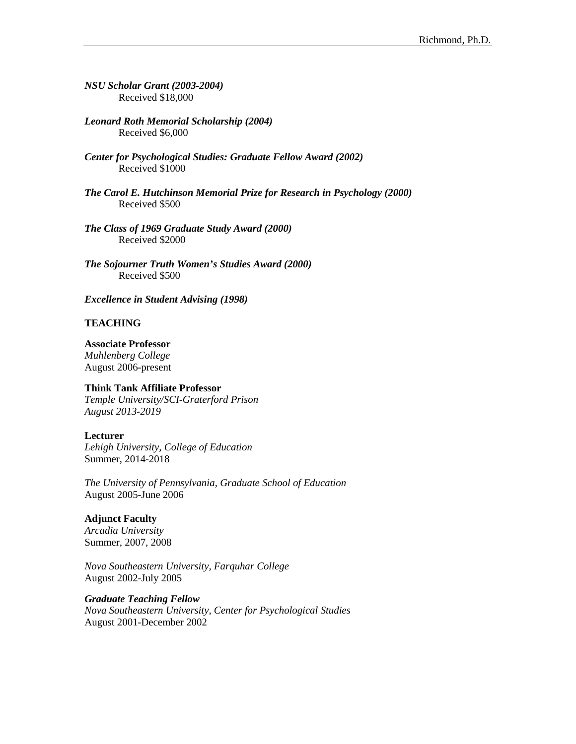*NSU Scholar Grant (2003-2004)* Received \$18,000

*Leonard Roth Memorial Scholarship (2004)* Received \$6,000

- *Center for Psychological Studies: Graduate Fellow Award (2002)* Received \$1000
- *The Carol E. Hutchinson Memorial Prize for Research in Psychology (2000)* Received \$500

*The Class of 1969 Graduate Study Award (2000)* Received \$2000

*The Sojourner Truth Women's Studies Award (2000)* Received \$500

*Excellence in Student Advising (1998)*

#### **TEACHING**

**Associate Professor**

*Muhlenberg College* August 2006-present

#### **Think Tank Affiliate Professor**

*Temple University/SCI-Graterford Prison August 2013-2019*

#### **Lecturer**

*Lehigh University, College of Education* Summer, 2014-2018

*The University of Pennsylvania, Graduate School of Education* August 2005-June 2006

#### **Adjunct Faculty**

*Arcadia University* Summer, 2007, 2008

*Nova Southeastern University, Farquhar College* August 2002-July 2005

#### *Graduate Teaching Fellow*

*Nova Southeastern University, Center for Psychological Studies* August 2001-December 2002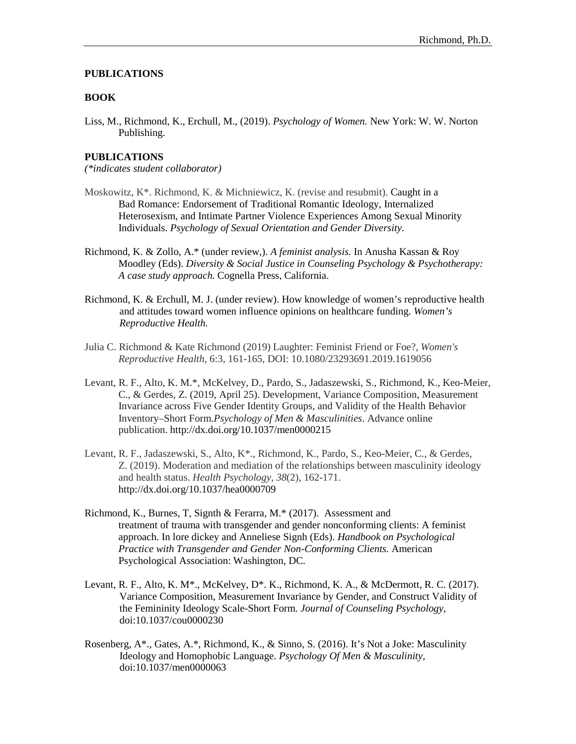#### **PUBLICATIONS**

#### **BOOK**

Liss, M., Richmond, K., Erchull, M., (2019). *Psychology of Women.* New York: W. W. Norton Publishing.

#### **PUBLICATIONS**

*(\*indicates student collaborator)*

- Moskowitz, K\*. Richmond, K. & Michniewicz, K. (revise and resubmit). Caught in a Bad Romance: Endorsement of Traditional Romantic Ideology, Internalized Heterosexism, and Intimate Partner Violence Experiences Among Sexual Minority Individuals. *Psychology of Sexual Orientation and Gender Diversity.*
- Richmond, K. & Zollo, A.\* (under review,). *A feminist analysis.* In Anusha Kassan & Roy Moodley (Eds). *Diversity & Social Justice in Counseling Psychology & Psychotherapy: A case study approach.* Cognella Press, California.
- Richmond, K. & Erchull, M. J. (under review). How knowledge of women's reproductive health and attitudes toward women influence opinions on healthcare funding. *Women's Reproductive Health.*
- Julia C. Richmond & Kate Richmond (2019) Laughter: Feminist Friend or Foe?, *Women's Reproductive Health*, 6:3, 161-165, DOI: [10.1080/23293691.2019.1619056](https://doi.org/10.1080/23293691.2019.1619056)
- Levant, R. F., Alto, K. M.\*, McKelvey, D., Pardo, S., Jadaszewski, S., Richmond, K., Keo-Meier, C., & Gerdes, Z. (2019, April 25). Development, Variance Composition, Measurement Invariance across Five Gender Identity Groups, and Validity of the Health Behavior Inventory–Short Form.*Psychology of Men & Masculinities*. Advance online publication. http://dx.doi.org/10.1037/men0000215
- Levant, R. F., Jadaszewski, S., Alto, K\*., Richmond, K., Pardo, S., Keo-Meier, C., & Gerdes, Z. (2019). Moderation and mediation of the relationships between masculinity ideology and health status. *Health Psychology, 38*(2), 162-171. [http://dx.doi.org/10.1037/hea0000709](https://psycnet.apa.org/doi/10.1037/hea0000709)
- Richmond, K., Burnes, T, Signth & Ferarra, M.\* (2017). Assessment and treatment of trauma with transgender and gender nonconforming clients: A feminist approach. In lore dickey and Anneliese Signh (Eds). *Handbook on Psychological Practice with Transgender and Gender Non-Conforming Clients.* American Psychological Association: Washington, DC.
- Levant, R. F., Alto, K. M\*., McKelvey, D\*. K., Richmond, K. A., & McDermott, R. C. (2017). Variance Composition, Measurement Invariance by Gender, and Construct Validity of the Femininity Ideology Scale-Short Form. *Journal of Counseling Psychology*, doi:10.1037/cou0000230
- Rosenberg, A\*., Gates, A.\*, Richmond, K., & Sinno, S. (2016). It's Not a Joke: Masculinity Ideology and Homophobic Language. *Psychology Of Men & Masculinity*, doi:10.1037/men0000063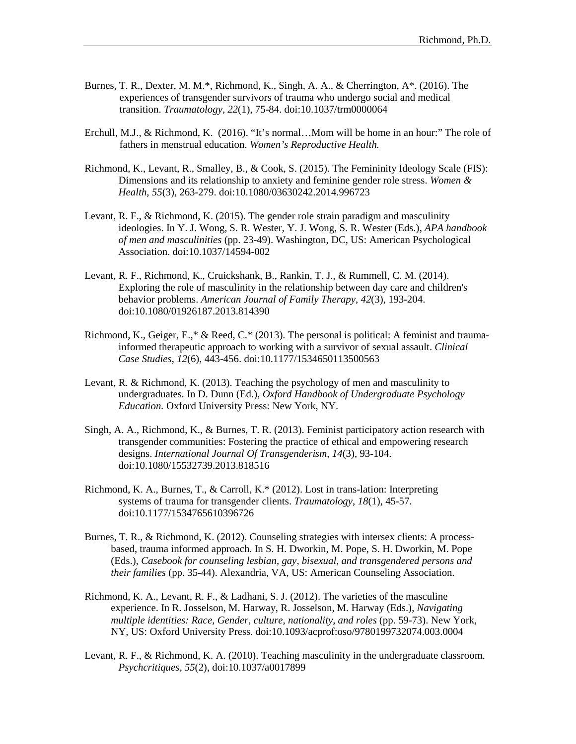- Burnes, T. R., Dexter, M. M.\*, Richmond, K., Singh, A. A., & Cherrington, A\*. (2016). The experiences of transgender survivors of trauma who undergo social and medical transition. *Traumatology*, *22*(1), 75-84. doi:10.1037/trm0000064
- Erchull, M.J., & Richmond, K. (2016). "It's normal…Mom will be home in an hour:" The role of fathers in menstrual education. *Women's Reproductive Health.*
- Richmond, K., Levant, R., Smalley, B., & Cook, S. (2015). The Femininity Ideology Scale (FIS): Dimensions and its relationship to anxiety and feminine gender role stress. *Women & Health*, *55*(3), 263-279. doi:10.1080/03630242.2014.996723
- Levant, R. F., & Richmond, K. (2015). The gender role strain paradigm and masculinity ideologies. In Y. J. Wong, S. R. Wester, Y. J. Wong, S. R. Wester (Eds.), *APA handbook of men and masculinities* (pp. 23-49). Washington, DC, US: American Psychological Association. doi:10.1037/14594-002
- Levant, R. F., Richmond, K., Cruickshank, B., Rankin, T. J., & Rummell, C. M. (2014). Exploring the role of masculinity in the relationship between day care and children's behavior problems. *American Journal of Family Therapy*, *42*(3), 193-204. doi:10.1080/01926187.2013.814390
- Richmond, K., Geiger, E.,\* & Reed, C.\* (2013). The personal is political: A feminist and traumainformed therapeutic approach to working with a survivor of sexual assault. *Clinical Case Studies*, *12*(6), 443-456. doi:10.1177/1534650113500563
- Levant, R. & Richmond, K. (2013). Teaching the psychology of men and masculinity to undergraduates*.* In D. Dunn (Ed.), *Oxford Handbook of Undergraduate Psychology Education.* Oxford University Press: New York, NY.
- Singh, A. A., Richmond, K., & Burnes, T. R. (2013). Feminist participatory action research with transgender communities: Fostering the practice of ethical and empowering research designs. *International Journal Of Transgenderism*, *14*(3), 93-104. doi:10.1080/15532739.2013.818516
- Richmond, K. A., Burnes, T., & Carroll, K.\* (2012). Lost in trans-lation: Interpreting systems of trauma for transgender clients. *Traumatology*, *18*(1), 45-57. doi:10.1177/1534765610396726
- Burnes, T. R., & Richmond, K. (2012). Counseling strategies with intersex clients: A processbased, trauma informed approach. In S. H. Dworkin, M. Pope, S. H. Dworkin, M. Pope (Eds.), *Casebook for counseling lesbian, gay, bisexual, and transgendered persons and their families* (pp. 35-44). Alexandria, VA, US: American Counseling Association.
- Richmond, K. A., Levant, R. F., & Ladhani, S. J. (2012). The varieties of the masculine experience. In R. Josselson, M. Harway, R. Josselson, M. Harway (Eds.), *Navigating multiple identities: Race, Gender, culture, nationality, and roles* (pp. 59-73). New York, NY, US: Oxford University Press. doi:10.1093/acprof:oso/9780199732074.003.0004
- Levant, R. F., & Richmond, K. A. (2010). Teaching masculinity in the undergraduate classroom. *Psychcritiques*, *55*(2), doi:10.1037/a0017899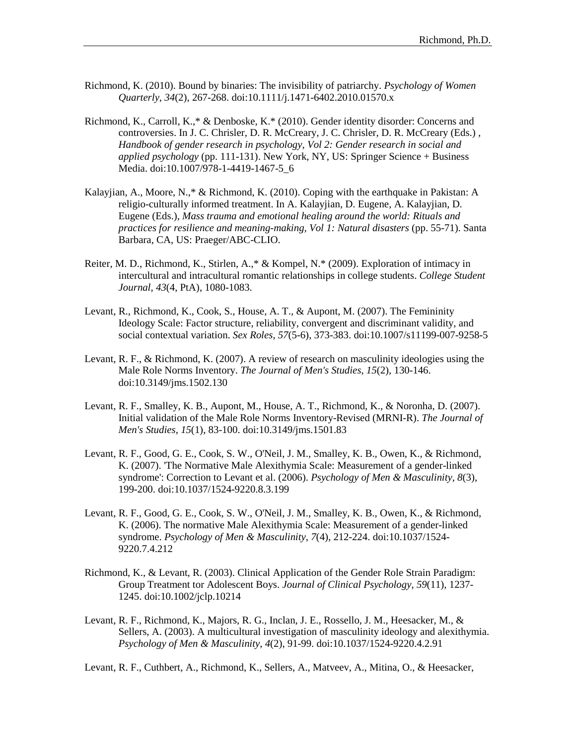- Richmond, K. (2010). Bound by binaries: The invisibility of patriarchy. *Psychology of Women Quarterly*, *34*(2), 267-268. doi:10.1111/j.1471-6402.2010.01570.x
- Richmond, K., Carroll, K.,\* & Denboske, K.\* (2010). Gender identity disorder: Concerns and controversies. In J. C. Chrisler, D. R. McCreary, J. C. Chrisler, D. R. McCreary (Eds.) , *Handbook of gender research in psychology, Vol 2: Gender research in social and applied psychology* (pp. 111-131). New York, NY, US: Springer Science + Business Media. doi:10.1007/978-1-4419-1467-5\_6
- Kalayjian, A., Moore, N.,\* & Richmond, K. (2010). Coping with the earthquake in Pakistan: A religio-culturally informed treatment. In A. Kalayjian, D. Eugene, A. Kalayjian, D. Eugene (Eds.), *Mass trauma and emotional healing around the world: Rituals and practices for resilience and meaning-making, Vol 1: Natural disasters* (pp. 55-71). Santa Barbara, CA, US: Praeger/ABC-CLIO.
- Reiter, M. D., Richmond, K., Stirlen, A.,\* & Kompel, N.\* (2009). Exploration of intimacy in intercultural and intracultural romantic relationships in college students. *College Student Journal*, *43*(4, PtA), 1080-1083.
- Levant, R., Richmond, K., Cook, S., House, A. T., & Aupont, M. (2007). The Femininity Ideology Scale: Factor structure, reliability, convergent and discriminant validity, and social contextual variation. *Sex Roles*, *57*(5-6), 373-383. doi:10.1007/s11199-007-9258-5
- Levant, R. F., & Richmond, K. (2007). A review of research on masculinity ideologies using the Male Role Norms Inventory. *The Journal of Men's Studies*, *15*(2), 130-146. doi:10.3149/jms.1502.130
- Levant, R. F., Smalley, K. B., Aupont, M., House, A. T., Richmond, K., & Noronha, D. (2007). Initial validation of the Male Role Norms Inventory-Revised (MRNI-R). *The Journal of Men's Studies*, *15*(1), 83-100. doi:10.3149/jms.1501.83
- Levant, R. F., Good, G. E., Cook, S. W., O'Neil, J. M., Smalley, K. B., Owen, K., & Richmond, K. (2007). 'The Normative Male Alexithymia Scale: Measurement of a gender-linked syndrome': Correction to Levant et al. (2006). *Psychology of Men & Masculinity*, *8*(3), 199-200. doi:10.1037/1524-9220.8.3.199
- Levant, R. F., Good, G. E., Cook, S. W., O'Neil, J. M., Smalley, K. B., Owen, K., & Richmond, K. (2006). The normative Male Alexithymia Scale: Measurement of a gender-linked syndrome. *Psychology of Men & Masculinity*, *7*(4), 212-224. doi:10.1037/1524- 9220.7.4.212
- Richmond, K., & Levant, R. (2003). Clinical Application of the Gender Role Strain Paradigm: Group Treatment tor Adolescent Boys. *Journal of Clinical Psychology*, *59*(11), 1237- 1245. doi:10.1002/jclp.10214
- Levant, R. F., Richmond, K., Majors, R. G., Inclan, J. E., Rossello, J. M., Heesacker, M., & Sellers, A. (2003). A multicultural investigation of masculinity ideology and alexithymia. *Psychology of Men & Masculinity*, *4*(2), 91-99. doi:10.1037/1524-9220.4.2.91

Levant, R. F., Cuthbert, A., Richmond, K., Sellers, A., Matveev, A., Mitina, O., & Heesacker,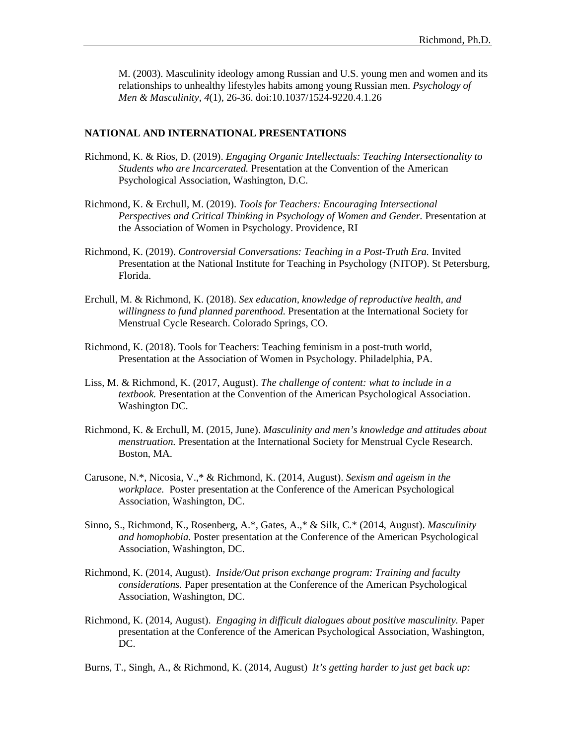M. (2003). Masculinity ideology among Russian and U.S. young men and women and its relationships to unhealthy lifestyles habits among young Russian men. *Psychology of Men & Masculinity*, *4*(1), 26-36. doi:10.1037/1524-9220.4.1.26

#### **NATIONAL AND INTERNATIONAL PRESENTATIONS**

- Richmond, K. & Rios, D. (2019). *Engaging Organic Intellectuals: Teaching Intersectionality to Students who are Incarcerated.* Presentation at the Convention of the American Psychological Association, Washington, D.C.
- Richmond, K. & Erchull, M. (2019). *Tools for Teachers: Encouraging Intersectional Perspectives and Critical Thinking in Psychology of Women and Gender.* Presentation at the Association of Women in Psychology. Providence, RI
- Richmond, K. (2019). *Controversial Conversations: Teaching in a Post-Truth Era.* Invited Presentation at the National Institute for Teaching in Psychology (NITOP). St Petersburg, Florida.
- Erchull, M. & Richmond, K. (2018). *Sex education, knowledge of reproductive health, and willingness to fund planned parenthood.* Presentation at the International Society for Menstrual Cycle Research. Colorado Springs, CO.
- Richmond, K. (2018). Tools for Teachers: Teaching feminism in a post-truth world, Presentation at the Association of Women in Psychology. Philadelphia, PA.
- Liss, M. & Richmond, K. (2017, August). *The challenge of content: what to include in a textbook.* Presentation at the Convention of the American Psychological Association. Washington DC.
- Richmond, K. & Erchull, M. (2015, June). *Masculinity and men's knowledge and attitudes about menstruation.* Presentation at the International Society for Menstrual Cycle Research. Boston, MA.
- Carusone, N.\*, Nicosia, V.,\* & Richmond, K. (2014, August). *Sexism and ageism in the workplace.* Poster presentation at the Conference of the American Psychological Association, Washington, DC.
- Sinno, S., Richmond, K., Rosenberg, A.\*, Gates, A.,\* & Silk, C.\* (2014, August). *Masculinity and homophobia.* Poster presentation at the Conference of the American Psychological Association, Washington, DC.
- Richmond, K. (2014, August). *Inside/Out prison exchange program: Training and faculty considerations.* Paper presentation at the Conference of the American Psychological Association, Washington, DC.
- Richmond, K. (2014, August). *Engaging in difficult dialogues about positive masculinity.* Paper presentation at the Conference of the American Psychological Association, Washington, DC.
- Burns, T., Singh, A., & Richmond, K. (2014, August) *It's getting harder to just get back up:*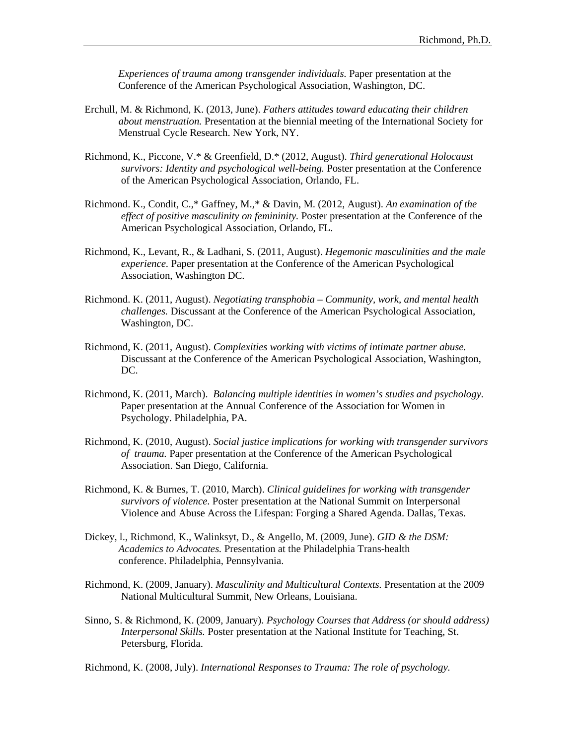*Experiences of trauma among transgender individuals.* Paper presentation at the Conference of the American Psychological Association, Washington, DC.

- Erchull, M. & Richmond, K. (2013, June). *Fathers attitudes toward educating their children about menstruation.* Presentation at the biennial meeting of the International Society for Menstrual Cycle Research. New York, NY.
- Richmond, K., Piccone, V.\* & Greenfield, D.\* (2012, August). *Third generational Holocaust survivors: Identity and psychological well-being.* Poster presentation at the Conference of the American Psychological Association, Orlando, FL.
- Richmond. K., Condit, C.,\* Gaffney, M.,\* & Davin, M. (2012, August). *An examination of the effect of positive masculinity on femininity.* Poster presentation at the Conference of the American Psychological Association, Orlando, FL.
- Richmond, K., Levant, R., & Ladhani, S. (2011, August). *Hegemonic masculinities and the male experience.* Paper presentation at the Conference of the American Psychological Association, Washington DC.
- Richmond. K. (2011, August). *Negotiating transphobia – Community, work, and mental health challenges.* Discussant at the Conference of the American Psychological Association, Washington, DC.
- Richmond, K. (2011, August). *Complexities working with victims of intimate partner abuse.* Discussant at the Conference of the American Psychological Association, Washington, DC.
- Richmond, K. (2011, March). *Balancing multiple identities in women's studies and psychology.* Paper presentation at the Annual Conference of the Association for Women in Psychology. Philadelphia, PA.
- Richmond, K. (2010, August). *Social justice implications for working with transgender survivors of trauma.* Paper presentation at the Conference of the American Psychological Association. San Diego, California.
- Richmond, K. & Burnes, T. (2010, March). *Clinical guidelines for working with transgender survivors of violence.* Poster presentation at the National Summit on Interpersonal Violence and Abuse Across the Lifespan: Forging a Shared Agenda. Dallas, Texas.
- Dickey, l., Richmond, K., Walinksyt, D., & Angello, M. (2009, June). *GID & the DSM: Academics to Advocates.* Presentation at the Philadelphia Trans-health conference. Philadelphia, Pennsylvania.
- Richmond, K. (2009, January). *Masculinity and Multicultural Contexts.* Presentation at the 2009 National Multicultural Summit, New Orleans, Louisiana.
- Sinno, S. & Richmond, K. (2009, January). *Psychology Courses that Address (or should address) Interpersonal Skills.* Poster presentation at the National Institute for Teaching, St. Petersburg, Florida.

Richmond, K. (2008, July). *International Responses to Trauma: The role of psychology.*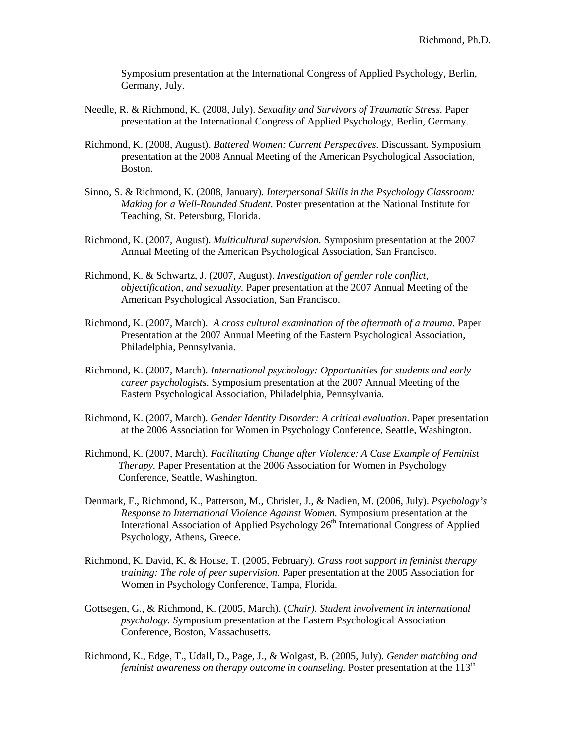Symposium presentation at the International Congress of Applied Psychology, Berlin, Germany, July.

- Needle, R. & Richmond, K. (2008, July). *Sexuality and Survivors of Traumatic Stress.* Paper presentation at the International Congress of Applied Psychology, Berlin, Germany.
- Richmond, K. (2008, August). *Battered Women: Current Perspectives.* Discussant. Symposium presentation at the 2008 Annual Meeting of the American Psychological Association, Boston.
- Sinno, S. & Richmond, K. (2008, January). *Interpersonal Skills in the Psychology Classroom: Making for a Well-Rounded Student.* Poster presentation at the National Institute for Teaching, St. Petersburg, Florida.
- Richmond, K. (2007, August). *Multicultural supervision.* Symposium presentation at the 2007 Annual Meeting of the American Psychological Association, San Francisco.
- Richmond, K. & Schwartz, J. (2007, August). *Investigation of gender role conflict, objectification, and sexuality.* Paper presentation at the 2007 Annual Meeting of the American Psychological Association, San Francisco.
- Richmond, K. (2007, March). *A cross cultural examination of the aftermath of a trauma.* Paper Presentation at the 2007 Annual Meeting of the Eastern Psychological Association, Philadelphia, Pennsylvania.
- Richmond, K. (2007, March). *International psychology: Opportunities for students and early career psychologists.* Symposium presentation at the 2007 Annual Meeting of the Eastern Psychological Association, Philadelphia, Pennsylvania.
- Richmond, K. (2007, March). *Gender Identity Disorder: A critical evaluation*. Paper presentation at the 2006 Association for Women in Psychology Conference, Seattle, Washington.
- Richmond, K. (2007, March). *Facilitating Change after Violence: A Case Example of Feminist Therapy.* Paper Presentation at the 2006 Association for Women in Psychology Conference, Seattle, Washington.
- Denmark, F., Richmond, K., Patterson, M., Chrisler, J., & Nadien, M. (2006, July). *Psychology's Response to International Violence Against Women.* Symposium presentation at the Interational Association of Applied Psychology 26<sup>th</sup> International Congress of Applied Psychology, Athens, Greece.
- Richmond, K. David, K, & House, T. (2005, February). *Grass root support in feminist therapy training: The role of peer supervision.* Paper presentation at the 2005 Association for Women in Psychology Conference, Tampa, Florida.
- Gottsegen, G., & Richmond, K. (2005, March). (*Chair). Student involvement in international psychology. S*ymposium presentation at the Eastern Psychological Association Conference, Boston, Massachusetts.
- Richmond, K., Edge, T., Udall, D., Page, J., & Wolgast, B. (2005, July). *Gender matching and feminist awareness on therapy outcome in counseling.* Poster presentation at the 113<sup>th</sup>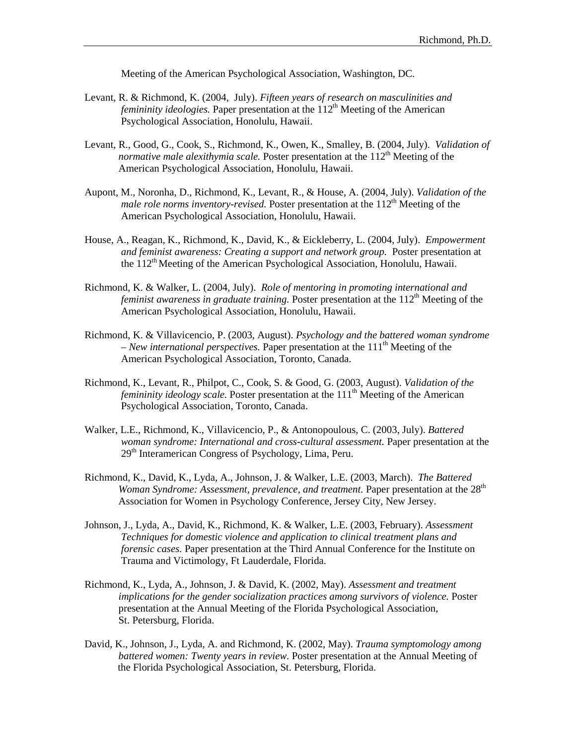Meeting of the American Psychological Association, Washington, DC.

- Levant, R. & Richmond, K. (2004, July). *Fifteen years of research on masculinities and femininity ideologies.* Paper presentation at the 112<sup>th</sup> Meeting of the American Psychological Association, Honolulu, Hawaii.
- Levant, R., Good, G., Cook, S., Richmond, K., Owen, K., Smalley, B. (2004, July). *Validation of normative male alexithymia scale.* Poster presentation at the 112<sup>th</sup> Meeting of the American Psychological Association, Honolulu, Hawaii.
- Aupont, M., Noronha, D., Richmond, K., Levant, R., & House, A. (2004, July). *Validation of the male role norms inventory-revised.* Poster presentation at the 112<sup>th</sup> Meeting of the American Psychological Association, Honolulu, Hawaii.
- House, A., Reagan, K., Richmond, K., David, K., & Eickleberry, L. (2004, July). *Empowerment and feminist awareness: Creating a support and network group.* Poster presentation at the 112<sup>th</sup> Meeting of the American Psychological Association, Honolulu, Hawaii.
- Richmond, K. & Walker, L. (2004, July). *Role of mentoring in promoting international and feminist awareness in graduate training.* Poster presentation at the 112<sup>th</sup> Meeting of the American Psychological Association, Honolulu, Hawaii.
- Richmond, K. & Villavicencio, P. (2003, August). *Psychology and the battered woman syndrome – New international perspectives.* Paper presentation at the 111th Meeting of the American Psychological Association, Toronto, Canada.
- Richmond, K., Levant, R., Philpot, C., Cook, S. & Good, G. (2003, August). *Validation of the femininity ideology scale.* Poster presentation at the 111<sup>th</sup> Meeting of the American Psychological Association, Toronto, Canada.
- Walker, L.E., Richmond, K., Villavicencio, P., & Antonopoulous, C. (2003, July). *Battered woman syndrome: International and cross-cultural assessment.* Paper presentation at the 29<sup>th</sup> Interamerican Congress of Psychology, Lima, Peru.
- Richmond, K., David, K., Lyda, A., Johnson, J. & Walker, L.E. (2003, March). *The Battered Woman Syndrome: Assessment, prevalence, and treatment. Paper presentation at the 28<sup>th</sup>* Association for Women in Psychology Conference, Jersey City, New Jersey.
- Johnson, J., Lyda, A., David, K., Richmond, K. & Walker, L.E. (2003, February). *Assessment Techniques for domestic violence and application to clinical treatment plans and forensic cases.* Paper presentation at the Third Annual Conference for the Institute on Trauma and Victimology, Ft Lauderdale, Florida.
- Richmond, K., Lyda, A., Johnson, J. & David, K. (2002, May). *Assessment and treatment implications for the gender socialization practices among survivors of violence.* Poster presentation at the Annual Meeting of the Florida Psychological Association, St. Petersburg, Florida.
- David, K., Johnson, J., Lyda, A. and Richmond, K. (2002, May). *Trauma symptomology among battered women: Twenty years in review.* Poster presentation at the Annual Meeting of the Florida Psychological Association, St. Petersburg, Florida.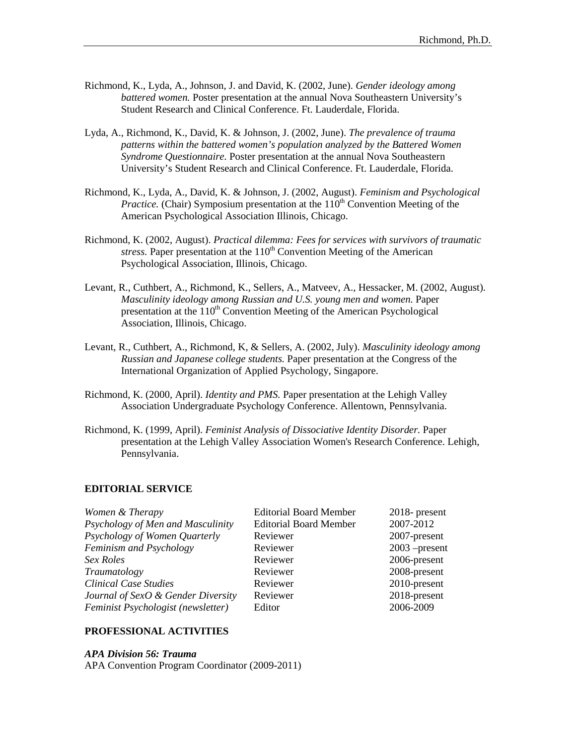- Richmond, K., Lyda, A., Johnson, J. and David, K. (2002, June). *Gender ideology among battered women.* Poster presentation at the annual Nova Southeastern University's Student Research and Clinical Conference. Ft. Lauderdale, Florida.
- Lyda, A., Richmond, K., David, K. & Johnson, J. (2002, June). *The prevalence of trauma patterns within the battered women's population analyzed by the Battered Women Syndrome Questionnaire.* Poster presentation at the annual Nova Southeastern University's Student Research and Clinical Conference. Ft. Lauderdale, Florida.
- Richmond, K., Lyda, A., David, K. & Johnson, J. (2002, August). *Feminism and Psychological Practice.* (Chair) Symposium presentation at the 110<sup>th</sup> Convention Meeting of the American Psychological Association Illinois, Chicago.
- Richmond, K. (2002, August). *Practical dilemma: Fees for services with survivors of traumatic stress.* Paper presentation at the 110<sup>th</sup> Convention Meeting of the American Psychological Association, Illinois, Chicago.
- Levant, R., Cuthbert, A., Richmond, K., Sellers, A., Matveev, A., Hessacker, M. (2002, August). *Masculinity ideology among Russian and U.S. young men and women.* Paper presentation at the 110<sup>th</sup> Convention Meeting of the American Psychological Association, Illinois, Chicago.
- Levant, R., Cuthbert, A., Richmond, K, & Sellers, A. (2002, July). *Masculinity ideology among Russian and Japanese college students.* Paper presentation at the Congress of the International Organization of Applied Psychology, Singapore.
- Richmond, K. (2000, April). *Identity and PMS.* Paper presentation at the Lehigh Valley Association Undergraduate Psychology Conference. Allentown, Pennsylvania.
- Richmond, K. (1999, April). *Feminist Analysis of Dissociative Identity Disorder.* Paper presentation at the Lehigh Valley Association Women's Research Conference. Lehigh, Pennsylvania.

#### **EDITORIAL SERVICE**

| Women & Therapy                    | <b>Editorial Board Member</b> | 2018- present   |
|------------------------------------|-------------------------------|-----------------|
| Psychology of Men and Masculinity  | <b>Editorial Board Member</b> | 2007-2012       |
| Psychology of Women Quarterly      | Reviewer                      | 2007-present    |
| Feminism and Psychology            | Reviewer                      | $2003$ -present |
| Sex Roles                          | Reviewer                      | 2006-present    |
| Traumatology                       | Reviewer                      | 2008-present    |
| <b>Clinical Case Studies</b>       | Reviewer                      | 2010-present    |
| Journal of SexO & Gender Diversity | Reviewer                      | 2018-present    |
| Feminist Psychologist (newsletter) | Editor                        | 2006-2009       |
|                                    |                               |                 |

#### **PROFESSIONAL ACTIVITIES**

*APA Division 56: Trauma*

APA Convention Program Coordinator (2009-2011)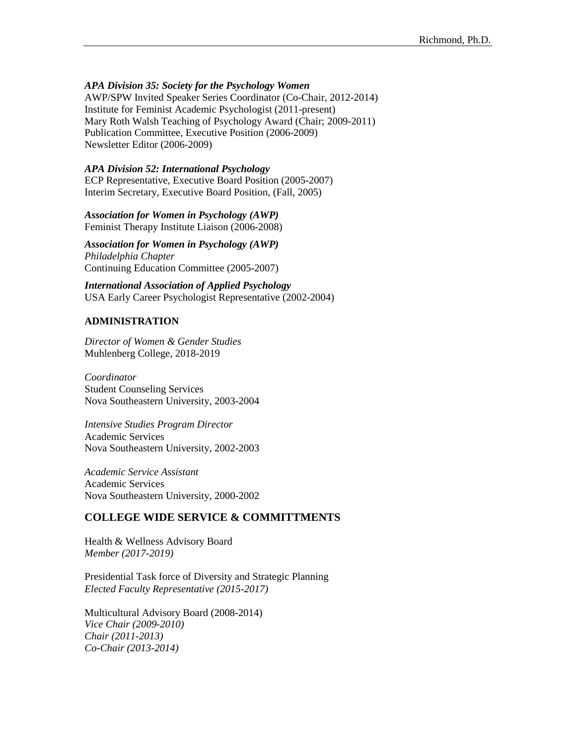# *APA Division 35: Society for the Psychology Women*

AWP/SPW Invited Speaker Series Coordinator (Co-Chair, 2012-2014) Institute for Feminist Academic Psychologist (2011-present) Mary Roth Walsh Teaching of Psychology Award (Chair; 2009-2011) Publication Committee, Executive Position (2006-2009) Newsletter Editor (2006-2009)

#### *APA Division 52: International Psychology*

ECP Representative, Executive Board Position (2005-2007) Interim Secretary, Executive Board Position, (Fall, 2005)

*Association for Women in Psychology (AWP)* Feminist Therapy Institute Liaison (2006-2008)

*Association for Women in Psychology (AWP) Philadelphia Chapter* Continuing Education Committee (2005-2007)

*International Association of Applied Psychology* USA Early Career Psychologist Representative (2002-2004)

#### **ADMINISTRATION**

*Director of Women & Gender Studies* Muhlenberg College, 2018-2019

*Coordinator*  Student Counseling Services Nova Southeastern University, 2003-2004

*Intensive Studies Program Director* Academic Services Nova Southeastern University, 2002-2003

*Academic Service Assistant* Academic Services Nova Southeastern University, 2000-2002

# **COLLEGE WIDE SERVICE & COMMITTMENTS**

Health & Wellness Advisory Board *Member (2017-2019)*

Presidential Task force of Diversity and Strategic Planning *Elected Faculty Representative (2015-2017)*

Multicultural Advisory Board (2008-2014) *Vice Chair (2009-2010) Chair (2011-2013) Co-Chair (2013-2014)*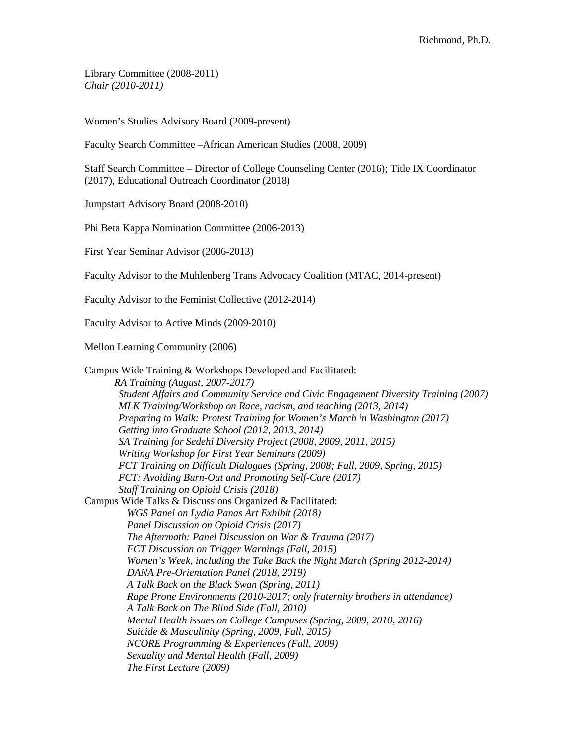Library Committee (2008-2011) *Chair (2010-2011)*

Women's Studies Advisory Board (2009-present)

Faculty Search Committee –African American Studies (2008, 2009)

Staff Search Committee – Director of College Counseling Center (2016); Title IX Coordinator (2017), Educational Outreach Coordinator (2018)

Jumpstart Advisory Board (2008-2010)

Phi Beta Kappa Nomination Committee (2006-2013)

First Year Seminar Advisor (2006-2013)

Faculty Advisor to the Muhlenberg Trans Advocacy Coalition (MTAC, 2014-present)

Faculty Advisor to the Feminist Collective (2012-2014)

Faculty Advisor to Active Minds (2009-2010)

Mellon Learning Community (2006)

Campus Wide Training & Workshops Developed and Facilitated: *RA Training (August, 2007-2017) Student Affairs and Community Service and Civic Engagement Diversity Training (2007) MLK Training/Workshop on Race, racism, and teaching (2013, 2014) Preparing to Walk: Protest Training for Women's March in Washington (2017) Getting into Graduate School (2012, 2013, 2014) SA Training for Sedehi Diversity Project (2008, 2009, 2011, 2015) Writing Workshop for First Year Seminars (2009) FCT Training on Difficult Dialogues (Spring, 2008; Fall, 2009, Spring, 2015) FCT: Avoiding Burn-Out and Promoting Self-Care (2017) Staff Training on Opioid Crisis (2018)* Campus Wide Talks & Discussions Organized & Facilitated: *WGS Panel on Lydia Panas Art Exhibit (2018) Panel Discussion on Opioid Crisis (2017) The Aftermath: Panel Discussion on War & Trauma (2017) FCT Discussion on Trigger Warnings (Fall, 2015) Women's Week, including the Take Back the Night March (Spring 2012-2014) DANA Pre-Orientation Panel (2018, 2019) A Talk Back on the Black Swan (Spring, 2011) Rape Prone Environments (2010-2017; only fraternity brothers in attendance) A Talk Back on The Blind Side (Fall, 2010) Mental Health issues on College Campuses (Spring, 2009, 2010, 2016) Suicide & Masculinity (Spring, 2009, Fall, 2015) NCORE Programming & Experiences (Fall, 2009) Sexuality and Mental Health (Fall, 2009) The First Lecture (2009)*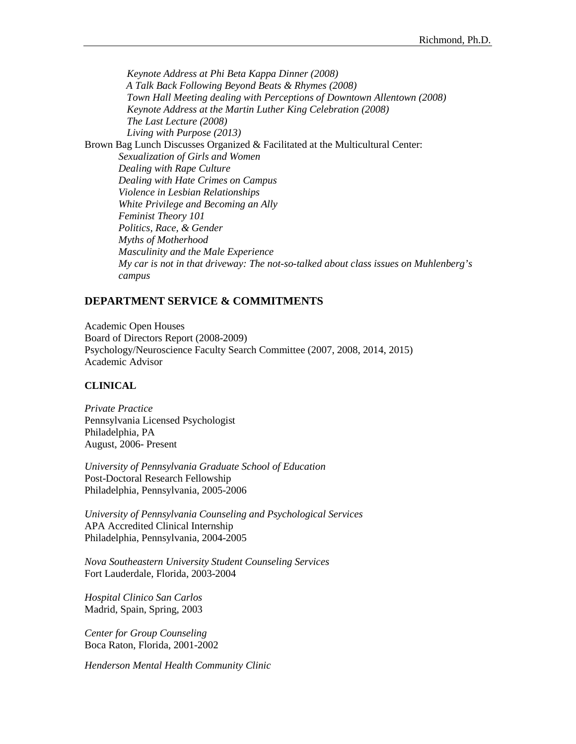*Keynote Address at Phi Beta Kappa Dinner (2008) A Talk Back Following Beyond Beats & Rhymes (2008) Town Hall Meeting dealing with Perceptions of Downtown Allentown (2008) Keynote Address at the Martin Luther King Celebration (2008) The Last Lecture (2008) Living with Purpose (2013)* Brown Bag Lunch Discusses Organized & Facilitated at the Multicultural Center: *Sexualization of Girls and Women Dealing with Rape Culture Dealing with Hate Crimes on Campus Violence in Lesbian Relationships White Privilege and Becoming an Ally Feminist Theory 101 Politics, Race, & Gender Myths of Motherhood Masculinity and the Male Experience My car is not in that driveway: The not-so-talked about class issues on Muhlenberg's campus*

# **DEPARTMENT SERVICE & COMMITMENTS**

Academic Open Houses Board of Directors Report (2008-2009) Psychology/Neuroscience Faculty Search Committee (2007, 2008, 2014, 2015) Academic Advisor

#### **CLINICAL**

*Private Practice* Pennsylvania Licensed Psychologist Philadelphia, PA August, 2006- Present

*University of Pennsylvania Graduate School of Education* Post-Doctoral Research Fellowship Philadelphia, Pennsylvania, 2005-2006

*University of Pennsylvania Counseling and Psychological Services* APA Accredited Clinical Internship Philadelphia, Pennsylvania, 2004-2005

*Nova Southeastern University Student Counseling Services* Fort Lauderdale, Florida, 2003-2004

*Hospital Clinico San Carlos* Madrid, Spain, Spring, 2003

*Center for Group Counseling* Boca Raton, Florida, 2001-2002

*Henderson Mental Health Community Clinic*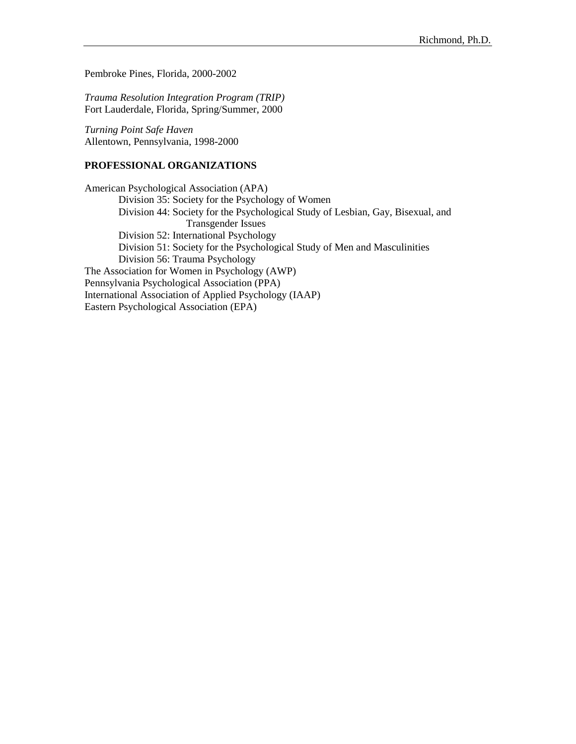Pembroke Pines, Florida, 2000-2002

*Trauma Resolution Integration Program (TRIP)* Fort Lauderdale, Florida, Spring/Summer, 2000

*Turning Point Safe Haven* Allentown, Pennsylvania, 1998-2000

#### **PROFESSIONAL ORGANIZATIONS**

American Psychological Association (APA) Division 35: Society for the Psychology of Women Division 44: Society for the Psychological Study of Lesbian, Gay, Bisexual, and Transgender Issues Division 52: International Psychology Division 51: Society for the Psychological Study of Men and Masculinities Division 56: Trauma Psychology The Association for Women in Psychology (AWP) Pennsylvania Psychological Association (PPA) International Association of Applied Psychology (IAAP) Eastern Psychological Association (EPA)